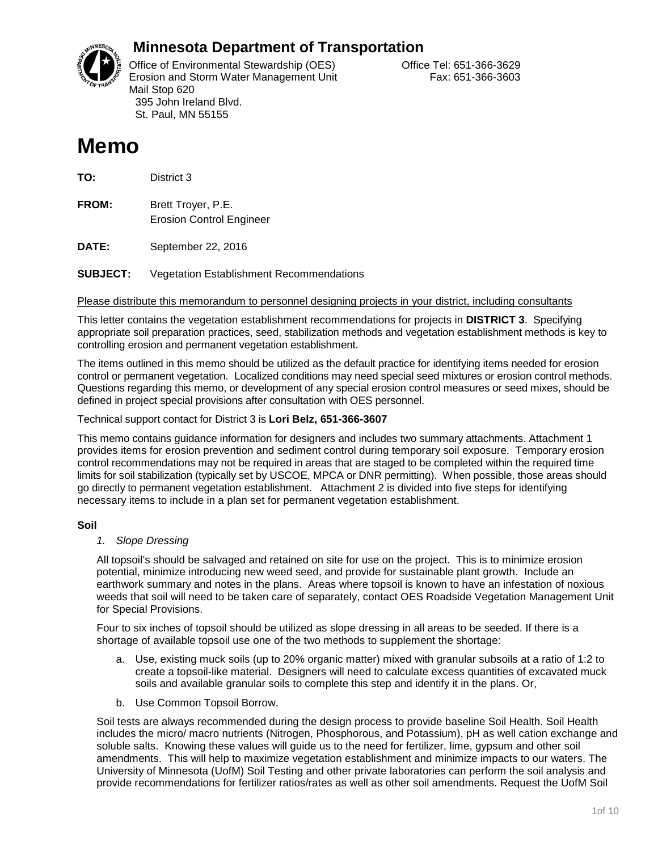

# **Minnesota Department of Transportation**

Office of Environmental Stewardship (OES) Correct Correct Correct Correct Correct Office Tel: 651-366-3629 Erosion and Storm Water Management Unit Fax: 651-366-3603 Mail Stop 620 395 John Ireland Blvd. St. Paul, MN 55155

# **Memo**

**TO:** District 3

**FROM:** Brett Troyer, P.E. Erosion Control Engineer

**DATE:** September 22, 2016

**SUBJECT:** Vegetation Establishment Recommendations

Please distribute this memorandum to personnel designing projects in your district, including consultants

This letter contains the vegetation establishment recommendations for projects in **DISTRICT 3**. Specifying appropriate soil preparation practices, seed, stabilization methods and vegetation establishment methods is key to controlling erosion and permanent vegetation establishment.

The items outlined in this memo should be utilized as the default practice for identifying items needed for erosion control or permanent vegetation. Localized conditions may need special seed mixtures or erosion control methods. Questions regarding this memo, or development of any special erosion control measures or seed mixes, should be defined in project special provisions after consultation with OES personnel.

Technical support contact for District 3 is **Lori Belz, 651-366-3607**

This memo contains guidance information for designers and includes two summary attachments. Attachment 1 provides items for erosion prevention and sediment control during temporary soil exposure. Temporary erosion control recommendations may not be required in areas that are staged to be completed within the required time limits for soil stabilization (typically set by USCOE, MPCA or DNR permitting). When possible, those areas should go directly to permanent vegetation establishment. Attachment 2 is divided into five steps for identifying necessary items to include in a plan set for permanent vegetation establishment.

### **Soil**

### *1. Slope Dressing*

All topsoil's should be salvaged and retained on site for use on the project. This is to minimize erosion potential, minimize introducing new weed seed, and provide for sustainable plant growth. Include an earthwork summary and notes in the plans. Areas where topsoil is known to have an infestation of noxious weeds that soil will need to be taken care of separately, contact OES Roadside Vegetation Management Unit for Special Provisions.

Four to six inches of topsoil should be utilized as slope dressing in all areas to be seeded. If there is a shortage of available topsoil use one of the two methods to supplement the shortage:

- a. Use, existing muck soils (up to 20% organic matter) mixed with granular subsoils at a ratio of 1:2 to create a topsoil-like material. Designers will need to calculate excess quantities of excavated muck soils and available granular soils to complete this step and identify it in the plans. Or,
- b. Use Common Topsoil Borrow.

Soil tests are always recommended during the design process to provide baseline Soil Health. Soil Health includes the micro/ macro nutrients (Nitrogen, Phosphorous, and Potassium), pH as well cation exchange and soluble salts. Knowing these values will guide us to the need for fertilizer, lime, gypsum and other soil amendments. This will help to maximize vegetation establishment and minimize impacts to our waters. The University of Minnesota (UofM) Soil Testing and other private laboratories can perform the soil analysis and provide recommendations for fertilizer ratios/rates as well as other soil amendments. Request the UofM Soil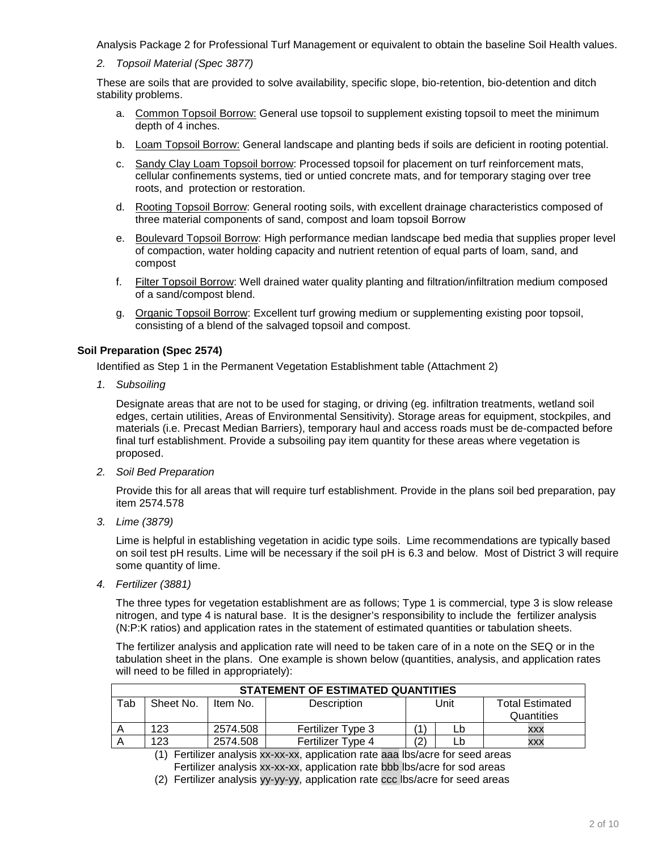Analysis Package 2 for Professional Turf Management or equivalent to obtain the baseline Soil Health values.

*2. Topsoil Material (Spec 3877)* 

These are soils that are provided to solve availability, specific slope, bio-retention, bio-detention and ditch stability problems.

- a. Common Topsoil Borrow: General use topsoil to supplement existing topsoil to meet the minimum depth of 4 inches.
- b. Loam Topsoil Borrow: General landscape and planting beds if soils are deficient in rooting potential.
- c. Sandy Clay Loam Topsoil borrow: Processed topsoil for placement on turf reinforcement mats, cellular confinements systems, tied or untied concrete mats, and for temporary staging over tree roots, and protection or restoration.
- d. Rooting Topsoil Borrow: General rooting soils, with excellent drainage characteristics composed of three material components of sand, compost and loam topsoil Borrow
- e. Boulevard Topsoil Borrow: High performance median landscape bed media that supplies proper level of compaction, water holding capacity and nutrient retention of equal parts of loam, sand, and compost
- f. Filter Topsoil Borrow: Well drained water quality planting and filtration/infiltration medium composed of a sand/compost blend.
- g. Organic Topsoil Borrow: Excellent turf growing medium or supplementing existing poor topsoil, consisting of a blend of the salvaged topsoil and compost.

#### **Soil Preparation (Spec 2574)**

Identified as Step 1 in the Permanent Vegetation Establishment table (Attachment 2)

*1. Subsoiling*

Designate areas that are not to be used for staging, or driving (eg. infiltration treatments, wetland soil edges, certain utilities, Areas of Environmental Sensitivity). Storage areas for equipment, stockpiles, and materials (i.e. Precast Median Barriers), temporary haul and access roads must be de-compacted before final turf establishment. Provide a subsoiling pay item quantity for these areas where vegetation is proposed.

*2. Soil Bed Preparation*

Provide this for all areas that will require turf establishment. Provide in the plans soil bed preparation, pay item 2574.578

*3. Lime (3879)* 

Lime is helpful in establishing vegetation in acidic type soils. Lime recommendations are typically based on soil test pH results. Lime will be necessary if the soil pH is 6.3 and below. Most of District 3 will require some quantity of lime.

*4. Fertilizer (3881)*

The three types for vegetation establishment are as follows; Type 1 is commercial, type 3 is slow release nitrogen, and type 4 is natural base. It is the designer's responsibility to include the fertilizer analysis (N:P:K ratios) and application rates in the statement of estimated quantities or tabulation sheets.

The fertilizer analysis and application rate will need to be taken care of in a note on the SEQ or in the tabulation sheet in the plans. One example is shown below (quantities, analysis, and application rates will need to be filled in appropriately):

| STATEMENT OF ESTIMATED QUANTITIES |                                      |          |                   |      |  |                        |  |
|-----------------------------------|--------------------------------------|----------|-------------------|------|--|------------------------|--|
| Tab                               | Sheet No.<br>Description<br>Item No. |          |                   | Unit |  | <b>Total Estimated</b> |  |
|                                   |                                      |          |                   |      |  | Quantities             |  |
|                                   | 123                                  | 2574.508 | Fertilizer Type 3 |      |  | <b>XXX</b>             |  |
|                                   | 123                                  | 2574.508 | Fertilizer Type 4 | (2   |  | XXX                    |  |

(1) Fertilizer analysis xx-xx-xx, application rate aaa lbs/acre for seed areas Fertilizer analysis xx-xx-xx, application rate bbb lbs/acre for sod areas

(2) Fertilizer analysis yy-yy-yy, application rate ccc lbs/acre for seed areas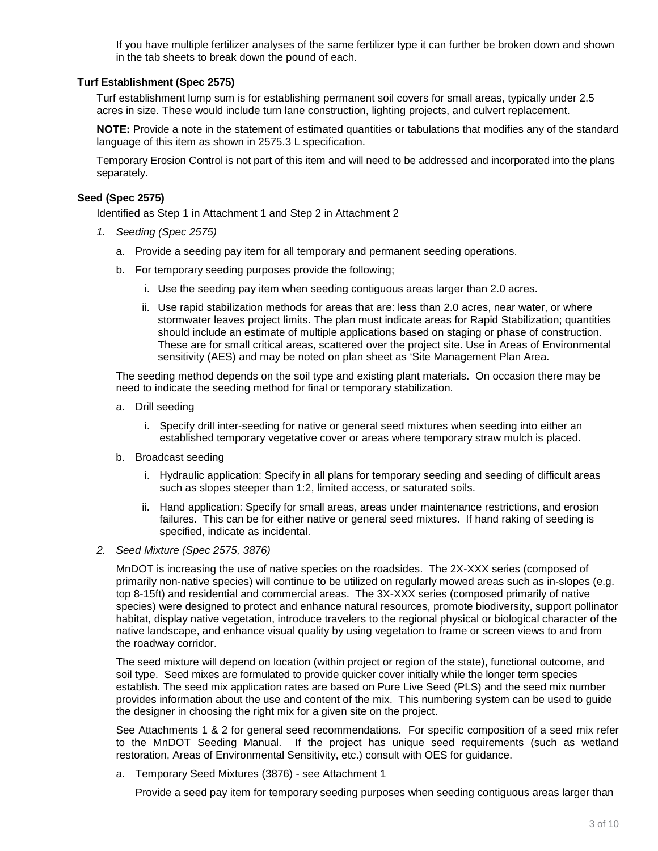If you have multiple fertilizer analyses of the same fertilizer type it can further be broken down and shown in the tab sheets to break down the pound of each.

#### **Turf Establishment (Spec 2575)**

Turf establishment lump sum is for establishing permanent soil covers for small areas, typically under 2.5 acres in size. These would include turn lane construction, lighting projects, and culvert replacement.

**NOTE:** Provide a note in the statement of estimated quantities or tabulations that modifies any of the standard language of this item as shown in 2575.3 L specification.

Temporary Erosion Control is not part of this item and will need to be addressed and incorporated into the plans separately.

#### **Seed (Spec 2575)**

Identified as Step 1 in Attachment 1 and Step 2 in Attachment 2

- *1. Seeding (Spec 2575)*
	- a. Provide a seeding pay item for all temporary and permanent seeding operations.
	- b. For temporary seeding purposes provide the following;
		- i. Use the seeding pay item when seeding contiguous areas larger than 2.0 acres.
		- ii. Use rapid stabilization methods for areas that are: less than 2.0 acres, near water, or where stormwater leaves project limits. The plan must indicate areas for Rapid Stabilization; quantities should include an estimate of multiple applications based on staging or phase of construction. These are for small critical areas, scattered over the project site. Use in Areas of Environmental sensitivity (AES) and may be noted on plan sheet as 'Site Management Plan Area.

The seeding method depends on the soil type and existing plant materials. On occasion there may be need to indicate the seeding method for final or temporary stabilization.

- a. Drill seeding
	- i. Specify drill inter-seeding for native or general seed mixtures when seeding into either an established temporary vegetative cover or areas where temporary straw mulch is placed.
- b. Broadcast seeding
	- i. Hydraulic application: Specify in all plans for temporary seeding and seeding of difficult areas such as slopes steeper than 1:2, limited access, or saturated soils.
	- ii. Hand application: Specify for small areas, areas under maintenance restrictions, and erosion failures. This can be for either native or general seed mixtures. If hand raking of seeding is specified, indicate as incidental.
- *2. Seed Mixture (Spec 2575, 3876)*

MnDOT is increasing the use of native species on the roadsides. The 2X-XXX series (composed of primarily non-native species) will continue to be utilized on regularly mowed areas such as in-slopes (e.g. top 8-15ft) and residential and commercial areas. The 3X-XXX series (composed primarily of native species) were designed to protect and enhance natural resources, promote biodiversity, support pollinator habitat, display native vegetation, introduce travelers to the regional physical or biological character of the native landscape, and enhance visual quality by using vegetation to frame or screen views to and from the roadway corridor.

The seed mixture will depend on location (within project or region of the state), functional outcome, and soil type. Seed mixes are formulated to provide quicker cover initially while the longer term species establish. The seed mix application rates are based on Pure Live Seed (PLS) and the seed mix number provides information about the use and content of the mix. This numbering system can be used to guide the designer in choosing the right mix for a given site on the project.

See Attachments 1 & 2 for general seed recommendations. For specific composition of a seed mix refer to the MnDOT Seeding Manual. If the project has unique seed requirements (such as wetland restoration, Areas of Environmental Sensitivity, etc.) consult with OES for guidance.

a. Temporary Seed Mixtures (3876) - see Attachment 1

Provide a seed pay item for temporary seeding purposes when seeding contiguous areas larger than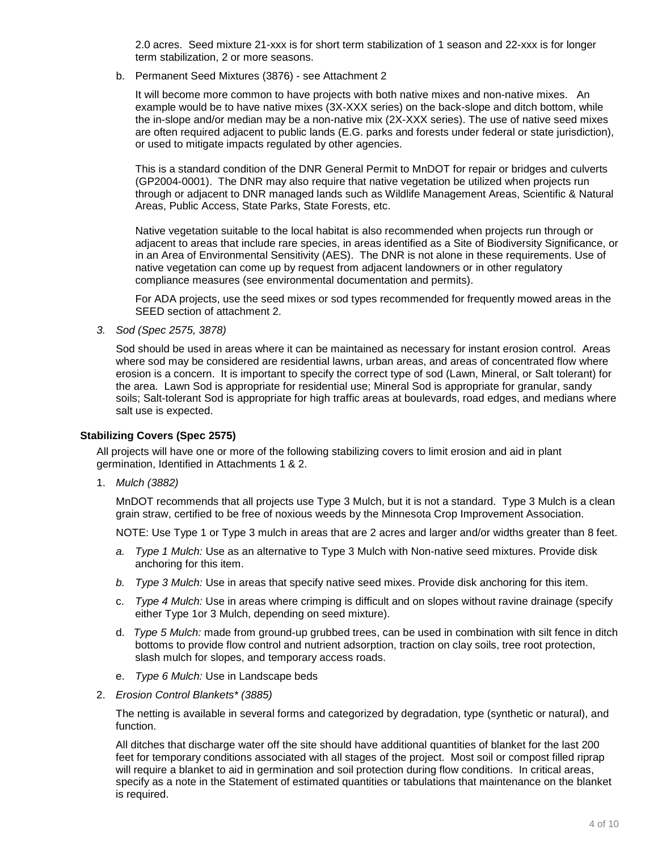2.0 acres. Seed mixture 21-xxx is for short term stabilization of 1 season and 22-xxx is for longer term stabilization, 2 or more seasons.

b. Permanent Seed Mixtures (3876) - see Attachment 2

It will become more common to have projects with both native mixes and non-native mixes. An example would be to have native mixes (3X-XXX series) on the back-slope and ditch bottom, while the in-slope and/or median may be a non-native mix (2X-XXX series). The use of native seed mixes are often required adjacent to public lands (E.G. parks and forests under federal or state jurisdiction), or used to mitigate impacts regulated by other agencies.

This is a standard condition of the DNR General Permit to MnDOT for repair or bridges and culverts (GP2004-0001). The DNR may also require that native vegetation be utilized when projects run through or adjacent to DNR managed lands such as Wildlife Management Areas, Scientific & Natural Areas, Public Access, State Parks, State Forests, etc.

Native vegetation suitable to the local habitat is also recommended when projects run through or adjacent to areas that include rare species, in areas identified as a Site of Biodiversity Significance, or in an Area of Environmental Sensitivity (AES). The DNR is not alone in these requirements. Use of native vegetation can come up by request from adjacent landowners or in other regulatory compliance measures (see environmental documentation and permits).

For ADA projects, use the seed mixes or sod types recommended for frequently mowed areas in the SEED section of attachment 2.

*3. Sod (Spec 2575, 3878)*

Sod should be used in areas where it can be maintained as necessary for instant erosion control. Areas where sod may be considered are residential lawns, urban areas, and areas of concentrated flow where erosion is a concern. It is important to specify the correct type of sod (Lawn, Mineral, or Salt tolerant) for the area. Lawn Sod is appropriate for residential use; Mineral Sod is appropriate for granular, sandy soils; Salt-tolerant Sod is appropriate for high traffic areas at boulevards, road edges, and medians where salt use is expected.

### **Stabilizing Covers (Spec 2575)**

All projects will have one or more of the following stabilizing covers to limit erosion and aid in plant germination, Identified in Attachments 1 & 2.

1. *Mulch (3882)* 

MnDOT recommends that all projects use Type 3 Mulch, but it is not a standard. Type 3 Mulch is a clean grain straw, certified to be free of noxious weeds by the Minnesota Crop Improvement Association.

NOTE: Use Type 1 or Type 3 mulch in areas that are 2 acres and larger and/or widths greater than 8 feet.

- *a. Type 1 Mulch:* Use as an alternative to Type 3 Mulch with Non-native seed mixtures. Provide disk anchoring for this item.
- *b. Type 3 Mulch:* Use in areas that specify native seed mixes. Provide disk anchoring for this item.
- c. *Type 4 Mulch:* Use in areas where crimping is difficult and on slopes without ravine drainage (specify either Type 1or 3 Mulch, depending on seed mixture).
- d. *Type 5 Mulch:* made from ground-up grubbed trees, can be used in combination with silt fence in ditch bottoms to provide flow control and nutrient adsorption, traction on clay soils, tree root protection, slash mulch for slopes, and temporary access roads.
- e. *Type 6 Mulch:* Use in Landscape beds
- 2. *Erosion Control Blankets\* (3885)*

The netting is available in several forms and categorized by degradation, type (synthetic or natural), and function.

All ditches that discharge water off the site should have additional quantities of blanket for the last 200 feet for temporary conditions associated with all stages of the project. Most soil or compost filled riprap will require a blanket to aid in germination and soil protection during flow conditions. In critical areas, specify as a note in the Statement of estimated quantities or tabulations that maintenance on the blanket is required.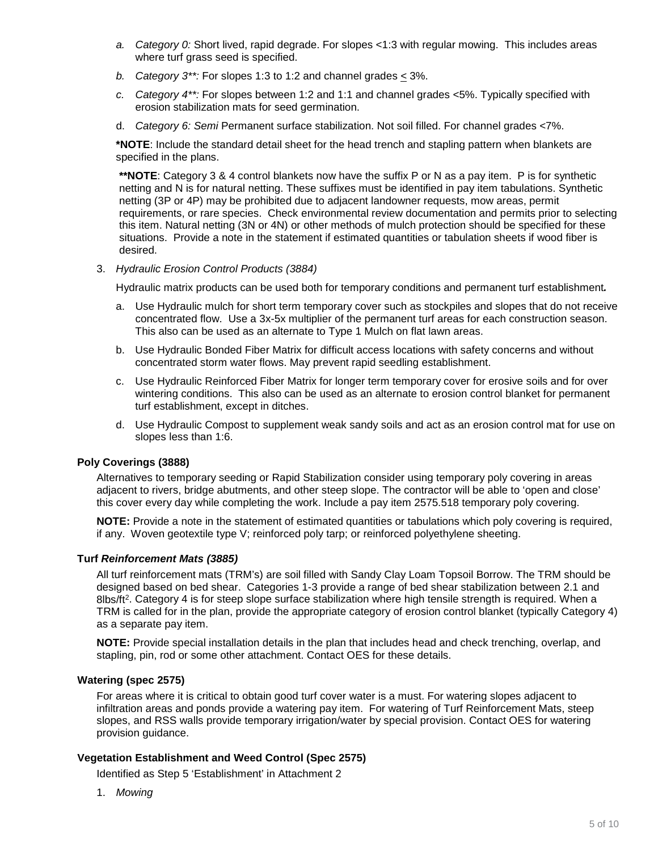- *a. Category 0:* Short lived, rapid degrade. For slopes <1:3 with regular mowing. This includes areas where turf grass seed is specified.
- *b. Category 3\*\*:* For slopes 1:3 to 1:2 and channel grades < 3%.
- *c. Category 4\*\*:* For slopes between 1:2 and 1:1 and channel grades <5%. Typically specified with erosion stabilization mats for seed germination.
- d. *Category 6: Semi* Permanent surface stabilization. Not soil filled. For channel grades <7%.

**\*NOTE**: Include the standard detail sheet for the head trench and stapling pattern when blankets are specified in the plans.

**\*\*NOTE**: Category 3 & 4 control blankets now have the suffix P or N as a pay item. P is for synthetic netting and N is for natural netting. These suffixes must be identified in pay item tabulations. Synthetic netting (3P or 4P) may be prohibited due to adjacent landowner requests, mow areas, permit requirements, or rare species. Check environmental review documentation and permits prior to selecting this item. Natural netting (3N or 4N) or other methods of mulch protection should be specified for these situations. Provide a note in the statement if estimated quantities or tabulation sheets if wood fiber is desired.

3. *Hydraulic Erosion Control Products (3884)*

Hydraulic matrix products can be used both for temporary conditions and permanent turf establishment*.* 

- a. Use Hydraulic mulch for short term temporary cover such as stockpiles and slopes that do not receive concentrated flow. Use a 3x-5x multiplier of the permanent turf areas for each construction season. This also can be used as an alternate to Type 1 Mulch on flat lawn areas.
- b. Use Hydraulic Bonded Fiber Matrix for difficult access locations with safety concerns and without concentrated storm water flows. May prevent rapid seedling establishment.
- c. Use Hydraulic Reinforced Fiber Matrix for longer term temporary cover for erosive soils and for over wintering conditions. This also can be used as an alternate to erosion control blanket for permanent turf establishment, except in ditches.
- d. Use Hydraulic Compost to supplement weak sandy soils and act as an erosion control mat for use on slopes less than 1:6.

#### **Poly Coverings (3888)**

Alternatives to temporary seeding or Rapid Stabilization consider using temporary poly covering in areas adjacent to rivers, bridge abutments, and other steep slope. The contractor will be able to 'open and close' this cover every day while completing the work. Include a pay item 2575.518 temporary poly covering.

**NOTE:** Provide a note in the statement of estimated quantities or tabulations which poly covering is required, if any. Woven geotextile type V; reinforced poly tarp; or reinforced polyethylene sheeting.

#### **Turf** *Reinforcement Mats (3885)*

All turf reinforcement mats (TRM's) are soil filled with Sandy Clay Loam Topsoil Borrow. The TRM should be designed based on bed shear. Categories 1-3 provide a range of bed shear stabilization between 2.1 and 8lbs/ft<sup>2</sup>. Category 4 is for steep slope surface stabilization where high tensile strength is required. When a TRM is called for in the plan, provide the appropriate category of erosion control blanket (typically Category 4) as a separate pay item.

**NOTE:** Provide special installation details in the plan that includes head and check trenching, overlap, and stapling, pin, rod or some other attachment. Contact OES for these details.

#### **Watering (spec 2575)**

For areas where it is critical to obtain good turf cover water is a must. For watering slopes adjacent to infiltration areas and ponds provide a watering pay item. For watering of Turf Reinforcement Mats, steep slopes, and RSS walls provide temporary irrigation/water by special provision. Contact OES for watering provision guidance.

#### **Vegetation Establishment and Weed Control (Spec 2575)**

Identified as Step 5 'Establishment' in Attachment 2

1. *Mowing*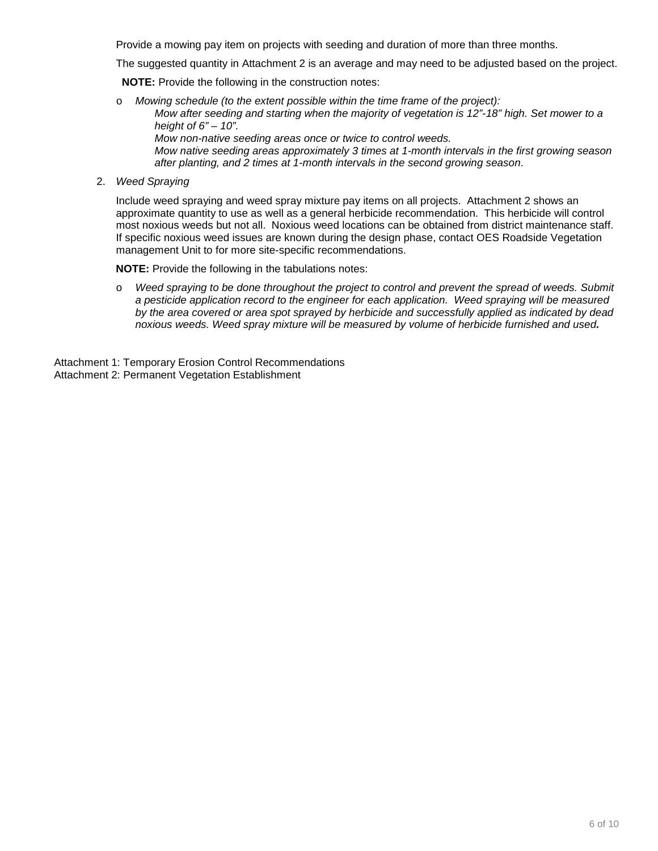Provide a mowing pay item on projects with seeding and duration of more than three months.

The suggested quantity in Attachment 2 is an average and may need to be adjusted based on the project.

**NOTE:** Provide the following in the construction notes:

- o *Mowing schedule (to the extent possible within the time frame of the project): Mow after seeding and starting when the majority of vegetation is 12"-18" high. Set mower to a height of 6" – 10". Mow non-native seeding areas once or twice to control weeds. Mow native seeding areas approximately 3 times at 1-month intervals in the first growing season after planting, and 2 times at 1-month intervals in the second growing season*.
- 2. *Weed Spraying*

Include weed spraying and weed spray mixture pay items on all projects. Attachment 2 shows an approximate quantity to use as well as a general herbicide recommendation. This herbicide will control most noxious weeds but not all. Noxious weed locations can be obtained from district maintenance staff. If specific noxious weed issues are known during the design phase, contact OES Roadside Vegetation management Unit to for more site-specific recommendations.

**NOTE:** Provide the following in the tabulations notes:

o *Weed spraying to be done throughout the project to control and prevent the spread of weeds. Submit a pesticide application record to the engineer for each application. Weed spraying will be measured by the area covered or area spot sprayed by herbicide and successfully applied as indicated by dead noxious weeds. Weed spray mixture will be measured by volume of herbicide furnished and used.* 

Attachment 1: Temporary Erosion Control Recommendations Attachment 2: Permanent Vegetation Establishment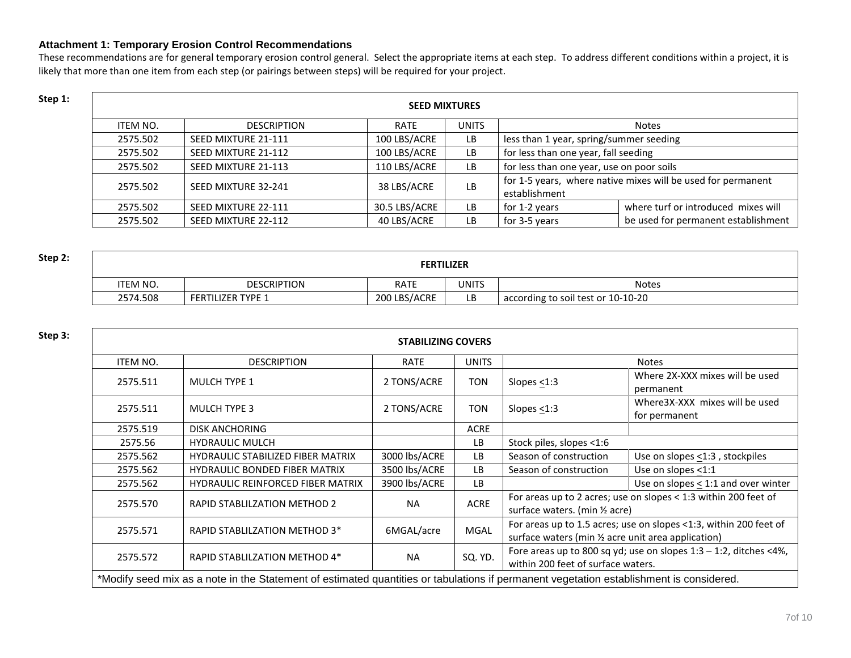### **Attachment 1: Temporary Erosion Control Recommendations**

These recommendations are for general temporary erosion control general. Select the appropriate items at each step. To address different conditions within a project, it is likely that more than one item from each step (or pairings between steps) will be required for your project.

| Step 1: | <b>SEED MIXTURES</b> |                     |               |              |                                                                               |                                     |  |
|---------|----------------------|---------------------|---------------|--------------|-------------------------------------------------------------------------------|-------------------------------------|--|
|         | ITEM NO.             | <b>DESCRIPTION</b>  | <b>RATE</b>   | <b>UNITS</b> |                                                                               | <b>Notes</b>                        |  |
|         | 2575.502             | SEED MIXTURE 21-111 | 100 LBS/ACRE  | LB.          | less than 1 year, spring/summer seeding                                       |                                     |  |
|         | 2575.502             | SEED MIXTURE 21-112 | 100 LBS/ACRE  | LB           | for less than one year, fall seeding                                          |                                     |  |
|         | 2575.502             | SEED MIXTURE 21-113 | 110 LBS/ACRE  | LB.          | for less than one year, use on poor soils                                     |                                     |  |
|         | 2575.502             | SEED MIXTURE 32-241 | 38 LBS/ACRE   | LB           | for 1-5 years, where native mixes will be used for permanent<br>establishment |                                     |  |
|         | 2575.502             | SEED MIXTURE 22-111 | 30.5 LBS/ACRE | LB.          | for 1-2 years                                                                 | where turf or introduced mixes will |  |
|         | 2575.502             | SEED MIXTURE 22-112 | 40 LBS/ACRE   | LB.          | for 3-5 years                                                                 | be used for permanent establishment |  |

| Step 2: | <b>FERTILIZER</b> |                          |              |       |                                    |  |  |
|---------|-------------------|--------------------------|--------------|-------|------------------------------------|--|--|
|         | ITEM NO.          | <b>DESCRIPTION</b>       | <b>RATE</b>  | UNITS | <b>Notes</b>                       |  |  |
|         | 2574.508          | <b>FERTILIZER TYPE 1</b> | 200 LBS/ACRE | LB    | according to soil test or 10-10-20 |  |  |

## **Step 3: STABILIZING COVERS**

| <b>ITEM NO.</b>                                                                                                                         | <b>DESCRIPTION</b>                       | RATE          | <b>UNITS</b> | <b>Notes</b>                                                         |                                          |  |  |
|-----------------------------------------------------------------------------------------------------------------------------------------|------------------------------------------|---------------|--------------|----------------------------------------------------------------------|------------------------------------------|--|--|
| 2575.511                                                                                                                                | MULCH TYPE 1                             | 2 TONS/ACRE   | <b>TON</b>   |                                                                      | Where 2X-XXX mixes will be used          |  |  |
|                                                                                                                                         |                                          |               |              | Slopes $<$ 1:3                                                       | permanent                                |  |  |
| 2575.511                                                                                                                                | MULCH TYPE 3                             | 2 TONS/ACRE   | <b>TON</b>   | Slopes $<$ 1:3                                                       | Where3X-XXX mixes will be used           |  |  |
|                                                                                                                                         |                                          |               |              |                                                                      | for permanent                            |  |  |
| 2575.519                                                                                                                                | <b>DISK ANCHORING</b>                    |               | <b>ACRE</b>  |                                                                      |                                          |  |  |
| 2575.56                                                                                                                                 | <b>HYDRAULIC MULCH</b>                   |               | <b>LB</b>    | Stock piles, slopes <1:6                                             |                                          |  |  |
| 2575.562                                                                                                                                | <b>HYDRAULIC STABILIZED FIBER MATRIX</b> | 3000 lbs/ACRE | LB.          | Season of construction                                               | Use on slopes <1:3, stockpiles           |  |  |
| 2575.562                                                                                                                                | <b>HYDRAULIC BONDED FIBER MATRIX</b>     | 3500 lbs/ACRE | LB.          | Season of construction                                               | Use on slopes <1:1                       |  |  |
| 2575.562                                                                                                                                | <b>HYDRAULIC REINFORCED FIBER MATRIX</b> | 3900 lbs/ACRE | LB           |                                                                      | Use on slopes $\leq$ 1:1 and over winter |  |  |
| 2575.570                                                                                                                                |                                          | <b>NA</b>     | <b>ACRE</b>  | For areas up to 2 acres; use on slopes < 1:3 within 200 feet of      |                                          |  |  |
|                                                                                                                                         | <b>RAPID STABLILZATION METHOD 2</b>      |               |              | surface waters. (min 1/2 acre)                                       |                                          |  |  |
| 2575.571                                                                                                                                |                                          | 6MGAL/acre    | <b>MGAL</b>  | For areas up to 1.5 acres; use on slopes <1:3, within 200 feet of    |                                          |  |  |
|                                                                                                                                         | RAPID STABLILZATION METHOD 3*            |               |              | surface waters (min 1/2 acre unit area application)                  |                                          |  |  |
| 2575.572                                                                                                                                | RAPID STABLILZATION METHOD 4*            | <b>NA</b>     | SQ. YD.      | Fore areas up to 800 sq yd; use on slopes $1:3 - 1:2$ , ditches <4%, |                                          |  |  |
|                                                                                                                                         |                                          |               |              | within 200 feet of surface waters.                                   |                                          |  |  |
| *Modify seed mix as a note in the Statement of estimated quantities or tabulations if permanent vegetation establishment is considered. |                                          |               |              |                                                                      |                                          |  |  |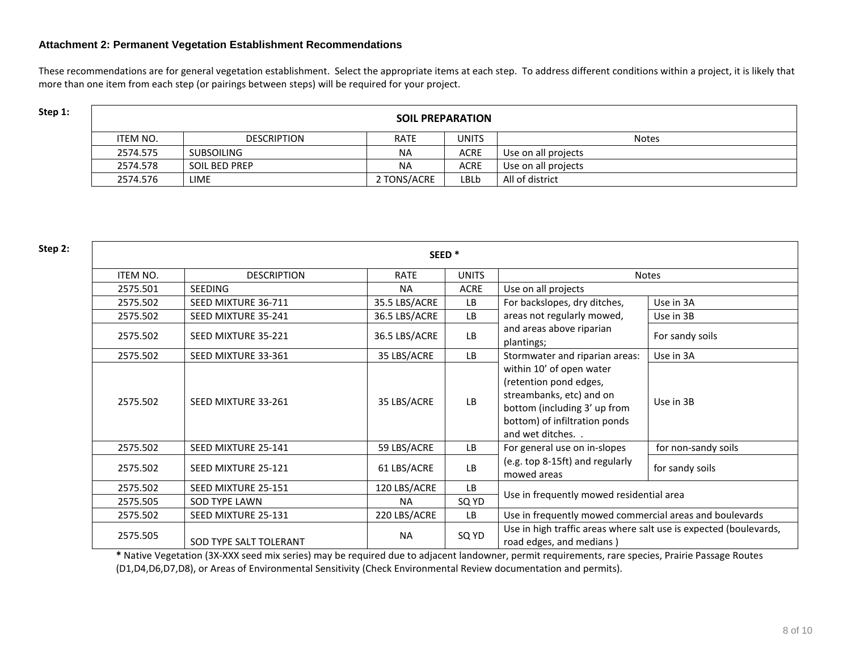#### **Attachment 2: Permanent Vegetation Establishment Recommendations**

These recommendations are for general vegetation establishment. Select the appropriate items at each step. To address different conditions within a project, it is likely that more than one item from each step (or pairings between steps) will be required for your project.

| Step 1: | <b>SOIL PREPARATION</b> |                      |             |              |                     |  |  |
|---------|-------------------------|----------------------|-------------|--------------|---------------------|--|--|
|         | ITEM NO.                | <b>DESCRIPTION</b>   | <b>RATE</b> | <b>UNITS</b> | <b>Notes</b>        |  |  |
|         | 2574.575                | SUBSOILING           | <b>NA</b>   | <b>ACRE</b>  | Use on all projects |  |  |
|         | 2574.578                | <b>SOIL BED PREP</b> | <b>NA</b>   | <b>ACRE</b>  | Use on all projects |  |  |
|         | 2574.576                | <b>LIME</b>          | 2 TONS/ACRE | LBLb         | All of district     |  |  |

| Step 2: |                 |                        | SEED <sup>*</sup> |              |                                                                                                                                                                    |                     |
|---------|-----------------|------------------------|-------------------|--------------|--------------------------------------------------------------------------------------------------------------------------------------------------------------------|---------------------|
|         | <b>ITEM NO.</b> | <b>DESCRIPTION</b>     | <b>RATE</b>       | <b>UNITS</b> |                                                                                                                                                                    | <b>Notes</b>        |
|         | 2575.501        | <b>SEEDING</b>         | <b>NA</b>         | <b>ACRE</b>  | Use on all projects                                                                                                                                                |                     |
|         | 2575.502        | SEED MIXTURE 36-711    | 35.5 LBS/ACRE     | LB.          | For backslopes, dry ditches,                                                                                                                                       | Use in 3A           |
|         | 2575.502        | SEED MIXTURE 35-241    | 36.5 LBS/ACRE     | <b>LB</b>    | areas not regularly mowed,                                                                                                                                         | Use in 3B           |
|         | 2575.502        | SEED MIXTURE 35-221    | 36.5 LBS/ACRE     | <b>LB</b>    | and areas above riparian<br>plantings;                                                                                                                             | For sandy soils     |
|         | 2575.502        | SEED MIXTURE 33-361    | 35 LBS/ACRE       | LB.          | Stormwater and riparian areas:                                                                                                                                     | Use in 3A           |
|         | 2575.502        | SEED MIXTURE 33-261    | 35 LBS/ACRE       | <b>LB</b>    | within 10' of open water<br>(retention pond edges,<br>streambanks, etc) and on<br>bottom (including 3' up from<br>bottom) of infiltration ponds<br>and wet ditches | Use in 3B           |
|         | 2575.502        | SEED MIXTURE 25-141    | 59 LBS/ACRE       | LB           | For general use on in-slopes                                                                                                                                       | for non-sandy soils |
|         | 2575.502        | SEED MIXTURE 25-121    | 61 LBS/ACRE       | <b>LB</b>    | (e.g. top 8-15ft) and regularly<br>mowed areas                                                                                                                     | for sandy soils     |
|         | 2575.502        | SEED MIXTURE 25-151    | 120 LBS/ACRE      | <b>LB</b>    | Use in frequently mowed residential area                                                                                                                           |                     |
|         | 2575.505        | <b>SOD TYPE LAWN</b>   | <b>NA</b>         | SQ YD        |                                                                                                                                                                    |                     |
|         | 2575.502        | SEED MIXTURE 25-131    | 220 LBS/ACRE      | <b>LB</b>    | Use in frequently mowed commercial areas and boulevards                                                                                                            |                     |
|         | 2575.505        | SOD TYPE SALT TOLERANT | <b>NA</b>         | SQ YD        | Use in high traffic areas where salt use is expected (boulevards,<br>road edges, and medians)                                                                      |                     |

**\*** Native Vegetation (3X-XXX seed mix series) may be required due to adjacent landowner, permit requirements, rare species, Prairie Passage Routes (D1,D4,D6,D7,D8), or Areas of Environmental Sensitivity (Check Environmental Review documentation and permits).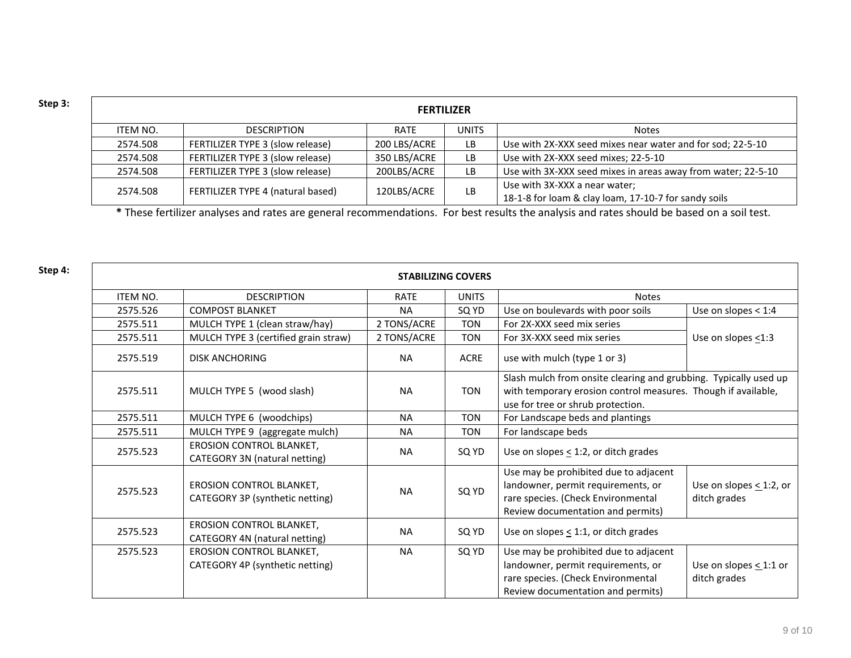| Step 3: | <b>FERTILIZER</b> |                                   |              |              |                                                                                       |  |  |
|---------|-------------------|-----------------------------------|--------------|--------------|---------------------------------------------------------------------------------------|--|--|
|         | ITEM NO.          | <b>DESCRIPTION</b>                | RATE         | <b>UNITS</b> | Notes                                                                                 |  |  |
|         | 2574.508          | FERTILIZER TYPE 3 (slow release)  | 200 LBS/ACRE | LB           | Use with 2X-XXX seed mixes near water and for sod; 22-5-10                            |  |  |
|         | 2574.508          | FERTILIZER TYPE 3 (slow release)  | 350 LBS/ACRE | LB.          | Use with 2X-XXX seed mixes; 22-5-10                                                   |  |  |
|         | 2574.508          | FERTILIZER TYPE 3 (slow release)  | 200LBS/ACRE  | LB.          | Use with 3X-XXX seed mixes in areas away from water; 22-5-10                          |  |  |
|         | 2574.508          | FERTILIZER TYPE 4 (natural based) | 120LBS/ACRE  | LB.          | Use with 3X-XXX a near water;<br>18-1-8 for loam & clay loam, 17-10-7 for sandy soils |  |  |

**\*** These fertilizer analyses and rates are general recommendations. For best results the analysis and rates should be based on a soil test.

| Step 4: | <b>STABILIZING COVERS</b> |                                                                    |             |              |                                                                                                                                                                        |                                              |  |  |
|---------|---------------------------|--------------------------------------------------------------------|-------------|--------------|------------------------------------------------------------------------------------------------------------------------------------------------------------------------|----------------------------------------------|--|--|
|         | <b>ITEM NO.</b>           | <b>DESCRIPTION</b>                                                 | <b>RATE</b> | <b>UNITS</b> | <b>Notes</b>                                                                                                                                                           |                                              |  |  |
|         | 2575.526                  | <b>COMPOST BLANKET</b>                                             | <b>NA</b>   | SQ YD        | Use on boulevards with poor soils                                                                                                                                      | Use on slopes $<$ 1:4                        |  |  |
|         | 2575.511                  | MULCH TYPE 1 (clean straw/hay)                                     | 2 TONS/ACRE | <b>TON</b>   | For 2X-XXX seed mix series                                                                                                                                             |                                              |  |  |
|         | 2575.511                  | MULCH TYPE 3 (certified grain straw)                               | 2 TONS/ACRE | <b>TON</b>   | For 3X-XXX seed mix series                                                                                                                                             | Use on slopes <1:3                           |  |  |
|         | 2575.519                  | <b>DISK ANCHORING</b>                                              | <b>NA</b>   | <b>ACRE</b>  | use with mulch (type 1 or 3)                                                                                                                                           |                                              |  |  |
|         | 2575.511                  | MULCH TYPE 5 (wood slash)                                          | <b>NA</b>   | <b>TON</b>   | Slash mulch from onsite clearing and grubbing. Typically used up<br>with temporary erosion control measures. Though if available,<br>use for tree or shrub protection. |                                              |  |  |
|         | 2575.511                  | MULCH TYPE 6 (woodchips)                                           | <b>NA</b>   | <b>TON</b>   | For Landscape beds and plantings                                                                                                                                       |                                              |  |  |
|         | 2575.511                  | MULCH TYPE 9 (aggregate mulch)                                     | <b>NA</b>   | <b>TON</b>   | For landscape beds                                                                                                                                                     |                                              |  |  |
|         | 2575.523                  | <b>EROSION CONTROL BLANKET,</b><br>CATEGORY 3N (natural netting)   | <b>NA</b>   | SQ YD        | Use on slopes $\leq$ 1:2, or ditch grades                                                                                                                              |                                              |  |  |
|         | 2575.523                  | <b>EROSION CONTROL BLANKET,</b><br>CATEGORY 3P (synthetic netting) | <b>NA</b>   | SQ YD        | Use may be prohibited due to adjacent<br>landowner, permit requirements, or<br>rare species. (Check Environmental<br>Review documentation and permits)                 | Use on slopes $\leq$ 1:2, or<br>ditch grades |  |  |
|         | 2575.523                  | EROSION CONTROL BLANKET,<br>CATEGORY 4N (natural netting)          | <b>NA</b>   | SQ YD        | Use on slopes $\leq$ 1:1, or ditch grades                                                                                                                              |                                              |  |  |
|         | 2575.523                  | EROSION CONTROL BLANKET,<br>CATEGORY 4P (synthetic netting)        | <b>NA</b>   | SQ YD        | Use may be prohibited due to adjacent<br>landowner, permit requirements, or<br>rare species. (Check Environmental<br>Review documentation and permits)                 | Use on slopes $\leq$ 1:1 or<br>ditch grades  |  |  |